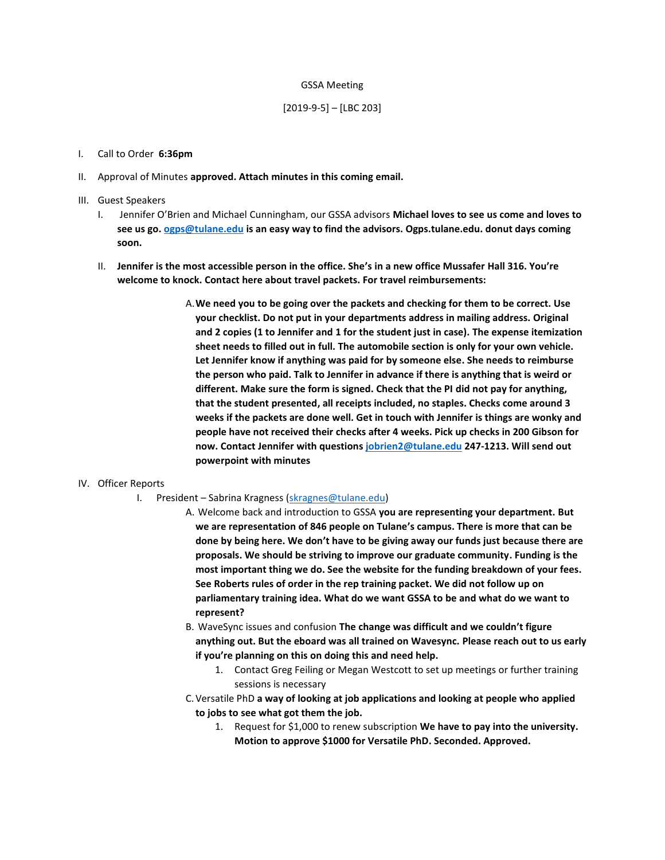#### GSSA Meeting

#### [2019-9-5] – [LBC 203]

#### I. Call to Order **6:36pm**

- II. Approval of Minutes **approved. Attach minutes in this coming email.**
- III. Guest Speakers
	- I. Jennifer O'Brien and Michael Cunningham, our GSSA advisors **Michael loves to see us come and loves to see us go. [ogps@tulane.edu](mailto:ogps@tulane.edu) is an easy way to find the advisors. Ogps.tulane.edu. donut days coming soon.**
	- II. **Jennifer is the most accessible person in the office. She's in a new office Mussafer Hall 316. You're welcome to knock. Contact here about travel packets. For travel reimbursements:**
		- A.**We need you to be going over the packets and checking for them to be correct. Use your checklist. Do not put in your departments address in mailing address. Original and 2 copies (1 to Jennifer and 1 for the student just in case). The expense itemization sheet needs to filled out in full. The automobile section is only for your own vehicle. Let Jennifer know if anything was paid for by someone else. She needs to reimburse the person who paid. Talk to Jennifer in advance if there is anything that is weird or different. Make sure the form is signed. Check that the PI did not pay for anything, that the student presented, all receipts included, no staples. Checks come around 3 weeks if the packets are done well. Get in touch with Jennifer is things are wonky and people have not received their checks after 4 weeks. Pick up checks in 200 Gibson for now. Contact Jennifer with question[s jobrien2@tulane.edu](mailto:jobrien2@tulane.edu) 247-1213. Will send out powerpoint with minutes**

#### IV. Officer Reports

- I. President Sabrina Kragness [\(skragnes@tulane.edu\)](mailto:skragnes@tulane.edu)
	- A. Welcome back and introduction to GSSA **you are representing your department. But we are representation of 846 people on Tulane's campus. There is more that can be done by being here. We don't have to be giving away our funds just because there are proposals. We should be striving to improve our graduate community. Funding is the most important thing we do. See the website for the funding breakdown of your fees. See Roberts rules of order in the rep training packet. We did not follow up on parliamentary training idea. What do we want GSSA to be and what do we want to represent?**
	- B. WaveSync issues and confusion **The change was difficult and we couldn't figure anything out. But the eboard was all trained on Wavesync. Please reach out to us early if you're planning on this on doing this and need help.** 
		- 1. Contact Greg Feiling or Megan Westcott to set up meetings or further training sessions is necessary
	- C.Versatile PhD **a way of looking at job applications and looking at people who applied to jobs to see what got them the job.** 
		- 1. Request for \$1,000 to renew subscription **We have to pay into the university. Motion to approve \$1000 for Versatile PhD. Seconded. Approved.**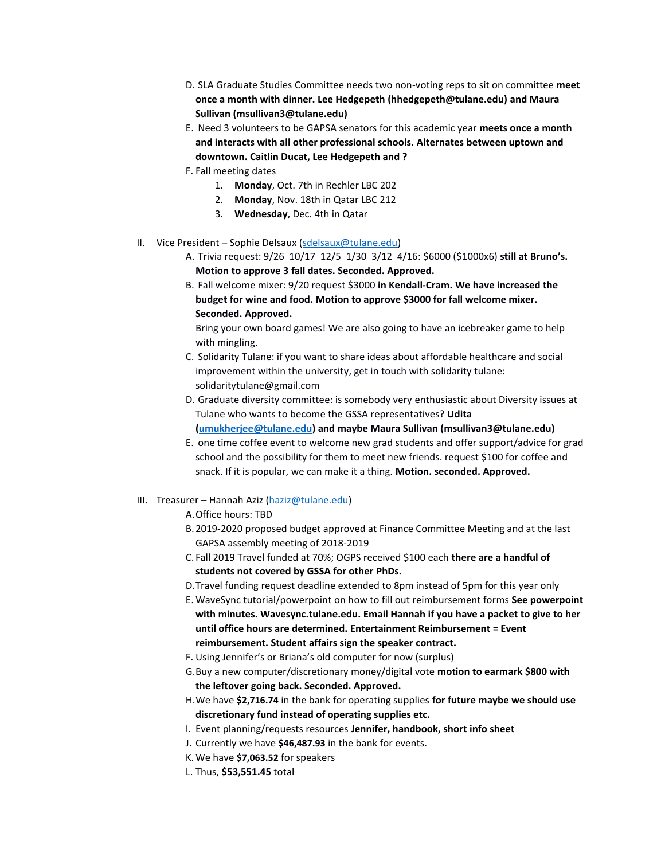- D. SLA Graduate Studies Committee needs two non-voting reps to sit on committee **meet once a month with dinner. Lee Hedgepeth (hhedgepeth@tulane.edu) and Maura Sullivan (msullivan3@tulane.edu)**
- E. Need 3 volunteers to be GAPSA senators for this academic year **meets once a month and interacts with all other professional schools. Alternates between uptown and downtown. Caitlin Ducat, Lee Hedgepeth and ?**
- F. Fall meeting dates
	- 1. **Monday**, Oct. 7th in Rechler LBC 202
	- 2. **Monday**, Nov. 18th in Qatar LBC 212
	- 3. **Wednesday**, Dec. 4th in Qatar
- II. Vice President Sophie Delsaux [\(sdelsaux@tulane.edu\)](mailto:sdelsaux@tulane.edu)
	- A. Trivia request: 9/26 10/17 12/5 1/30 3/12 4/16: \$6000 (\$1000x6) **still at Bruno's. Motion to approve 3 fall dates. Seconded. Approved.**
	- B. Fall welcome mixer: 9/20 request \$3000 **in Kendall-Cram. We have increased the budget for wine and food. Motion to approve \$3000 for fall welcome mixer. Seconded. Approved.**

Bring your own board games! We are also going to have an icebreaker game to help with mingling.

- C. Solidarity Tulane: if you want to share ideas about affordable healthcare and social improvement within the university, get in touch with solidarity tulane: solidaritytulane@gmail.com
- D. Graduate diversity committee: is somebody very enthusiastic about Diversity issues at Tulane who wants to become the GSSA representatives? **Udita [\(umukherjee@tulane.edu\)](mailto:umukherjee@tulane.edu) and maybe Maura Sullivan (msullivan3@tulane.edu)**
- E. one time coffee event to welcome new grad students and offer support/advice for grad school and the possibility for them to meet new friends. request \$100 for coffee and snack. If it is popular, we can make it a thing. **Motion. seconded. Approved.**

#### III. Treasurer - Hannah Aziz [\(haziz@tulane.edu\)](mailto:haziz@tulane.edu)

- A.Office hours: TBD
- B.2019-2020 proposed budget approved at Finance Committee Meeting and at the last GAPSA assembly meeting of 2018-2019
- C. Fall 2019 Travel funded at 70%; OGPS received \$100 each **there are a handful of students not covered by GSSA for other PhDs.**
- D.Travel funding request deadline extended to 8pm instead of 5pm for this year only
- E. WaveSync tutorial/powerpoint on how to fill out reimbursement forms **See powerpoint with minutes. Wavesync.tulane.edu. Email Hannah if you have a packet to give to her until office hours are determined. Entertainment Reimbursement = Event reimbursement. Student affairs sign the speaker contract.**
- F. Using Jennifer's or Briana's old computer for now (surplus)
- G.Buy a new computer/discretionary money/digital vote **motion to earmark \$800 with the leftover going back. Seconded. Approved.**
- H.We have **\$2,716.74** in the bank for operating supplies **for future maybe we should use discretionary fund instead of operating supplies etc.**
- I. Event planning/requests resources **Jennifer, handbook, short info sheet**
- J. Currently we have **\$46,487.93** in the bank for events.
- K.We have **\$7,063.52** for speakers
- L. Thus, **\$53,551.45** total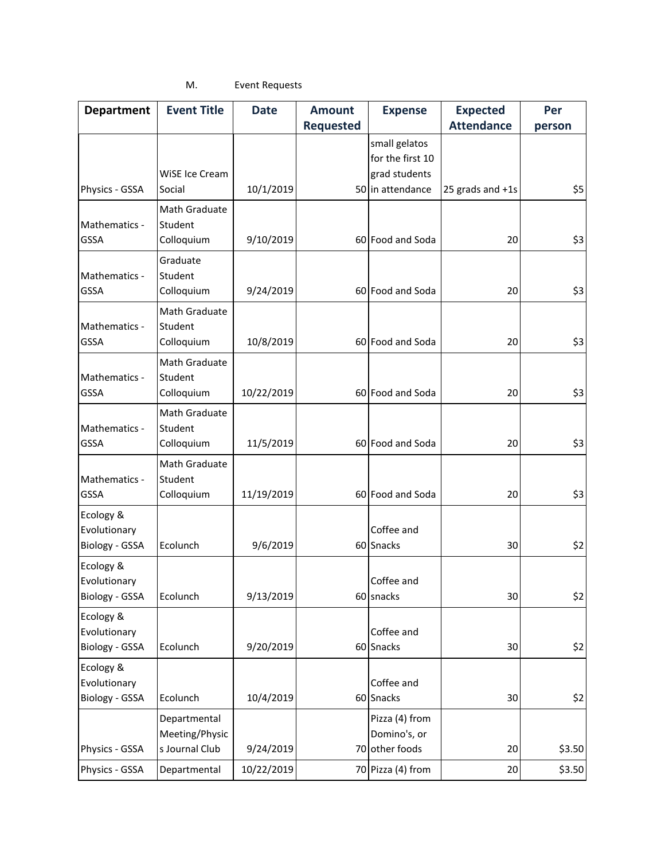# M. Event Requests

| <b>Department</b> | <b>Event Title</b> | <b>Date</b> | <b>Amount</b>    | <b>Expense</b>    | <b>Expected</b>   | Per    |
|-------------------|--------------------|-------------|------------------|-------------------|-------------------|--------|
|                   |                    |             | <b>Requested</b> |                   | <b>Attendance</b> | person |
|                   |                    |             |                  | small gelatos     |                   |        |
|                   |                    |             |                  | for the first 10  |                   |        |
|                   | WiSE Ice Cream     |             |                  | grad students     |                   |        |
| Physics - GSSA    | Social             | 10/1/2019   |                  | 50 in attendance  | 25 grads and +1s  | \$5    |
|                   | Math Graduate      |             |                  |                   |                   |        |
| Mathematics -     | Student            |             |                  |                   |                   |        |
| <b>GSSA</b>       | Colloquium         | 9/10/2019   |                  | 60 Food and Soda  | 20                | \$3    |
|                   | Graduate           |             |                  |                   |                   |        |
| Mathematics -     | Student            |             |                  |                   |                   |        |
| <b>GSSA</b>       | Colloquium         | 9/24/2019   |                  | 60 Food and Soda  | 20                | \$3    |
|                   | Math Graduate      |             |                  |                   |                   |        |
| Mathematics -     | Student            |             |                  |                   |                   |        |
| <b>GSSA</b>       | Colloquium         | 10/8/2019   |                  | 60 Food and Soda  | 20                | \$3    |
|                   | Math Graduate      |             |                  |                   |                   |        |
| Mathematics -     | Student            |             |                  |                   |                   |        |
| <b>GSSA</b>       | Colloquium         | 10/22/2019  |                  | 60 Food and Soda  | 20                | \$3    |
|                   | Math Graduate      |             |                  |                   |                   |        |
| Mathematics -     | Student            |             |                  |                   |                   |        |
| GSSA              | Colloquium         | 11/5/2019   |                  | 60 Food and Soda  | 20                | \$3    |
|                   | Math Graduate      |             |                  |                   |                   |        |
| Mathematics -     | Student            |             |                  |                   |                   |        |
| GSSA              | Colloquium         | 11/19/2019  |                  | 60 Food and Soda  | 20                | \$3    |
| Ecology &         |                    |             |                  |                   |                   |        |
| Evolutionary      |                    |             |                  | Coffee and        |                   |        |
| Biology - GSSA    | Ecolunch           | 9/6/2019    |                  | 60 Snacks         | 30                | \$2    |
| Ecology &         |                    |             |                  |                   |                   |        |
| Evolutionary      |                    |             |                  | Coffee and        |                   |        |
| Biology - GSSA    | Ecolunch           | 9/13/2019   |                  | 60 snacks         | 30                | \$2    |
| Ecology &         |                    |             |                  |                   |                   |        |
| Evolutionary      |                    |             |                  | Coffee and        |                   |        |
| Biology - GSSA    | Ecolunch           | 9/20/2019   |                  | 60 Snacks         | 30                | \$2    |
| Ecology &         |                    |             |                  |                   |                   |        |
| Evolutionary      |                    |             |                  | Coffee and        |                   |        |
| Biology - GSSA    | Ecolunch           | 10/4/2019   |                  | 60 Snacks         | 30                | \$2    |
|                   | Departmental       |             |                  | Pizza (4) from    |                   |        |
|                   | Meeting/Physic     |             |                  | Domino's, or      |                   |        |
| Physics - GSSA    | s Journal Club     | 9/24/2019   |                  | 70 other foods    | 20                | \$3.50 |
| Physics - GSSA    | Departmental       | 10/22/2019  |                  | 70 Pizza (4) from | 20                | \$3.50 |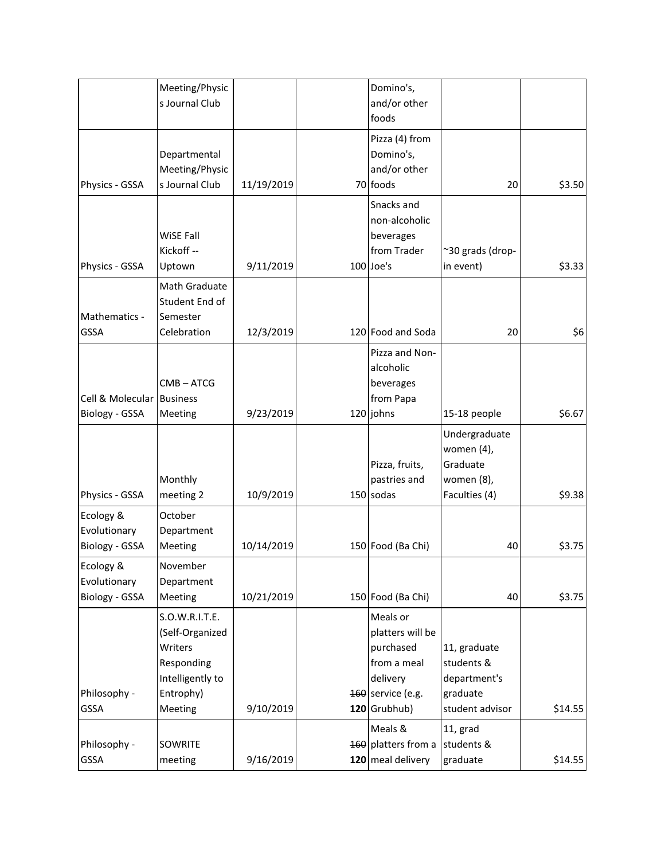|                                             | Meeting/Physic<br>s Journal Club                                                                       |            | Domino's,<br>and/or other<br>foods                                                                          |                                                                           |         |
|---------------------------------------------|--------------------------------------------------------------------------------------------------------|------------|-------------------------------------------------------------------------------------------------------------|---------------------------------------------------------------------------|---------|
| Physics - GSSA                              | Departmental<br>Meeting/Physic<br>s Journal Club                                                       | 11/19/2019 | Pizza (4) from<br>Domino's,<br>and/or other<br>70 foods                                                     | 20                                                                        | \$3.50  |
| Physics - GSSA                              | WiSE Fall<br>Kickoff --<br>Uptown                                                                      | 9/11/2019  | Snacks and<br>non-alcoholic<br>beverages<br>from Trader<br>100 Joe's                                        | ~30 grads (drop-<br>in event)                                             | \$3.33  |
| Mathematics -<br><b>GSSA</b>                | Math Graduate<br>Student End of<br>Semester<br>Celebration                                             | 12/3/2019  | 120 Food and Soda                                                                                           | 20                                                                        | \$6     |
| Cell & Molecular Business<br>Biology - GSSA | $CMB - ATCG$<br>Meeting                                                                                | 9/23/2019  | Pizza and Non-<br>alcoholic<br>beverages<br>from Papa<br>$120$ johns                                        | 15-18 people                                                              | \$6.67  |
| Physics - GSSA                              | Monthly<br>meeting 2                                                                                   | 10/9/2019  | Pizza, fruits,<br>pastries and<br>$150$ sodas                                                               | Undergraduate<br>women (4),<br>Graduate<br>women (8),<br>Faculties (4)    | \$9.38  |
| Ecology &<br>Evolutionary<br>Biology - GSSA | October<br>Department<br>Meeting                                                                       | 10/14/2019 | 150 Food (Ba Chi)                                                                                           | 40                                                                        | \$3.75  |
| Ecology &<br>Evolutionary<br>Biology - GSSA | November<br>Department<br>Meeting                                                                      | 10/21/2019 | 150 Food (Ba Chi)                                                                                           | 40                                                                        | \$3.75  |
| Philosophy -<br>GSSA                        | S.O.W.R.I.T.E.<br>(Self-Organized<br>Writers<br>Responding<br>Intelligently to<br>Entrophy)<br>Meeting | 9/10/2019  | Meals or<br>platters will be<br>purchased<br>from a meal<br>delivery<br>$160$ service (e.g.<br>120 Grubhub) | 11, graduate<br>students &<br>department's<br>graduate<br>student advisor | \$14.55 |
| Philosophy -<br>GSSA                        | SOWRITE<br>meeting                                                                                     | 9/16/2019  | Meals &<br>160 platters from a<br>120 meal delivery                                                         | 11, grad<br>students &<br>graduate                                        | \$14.55 |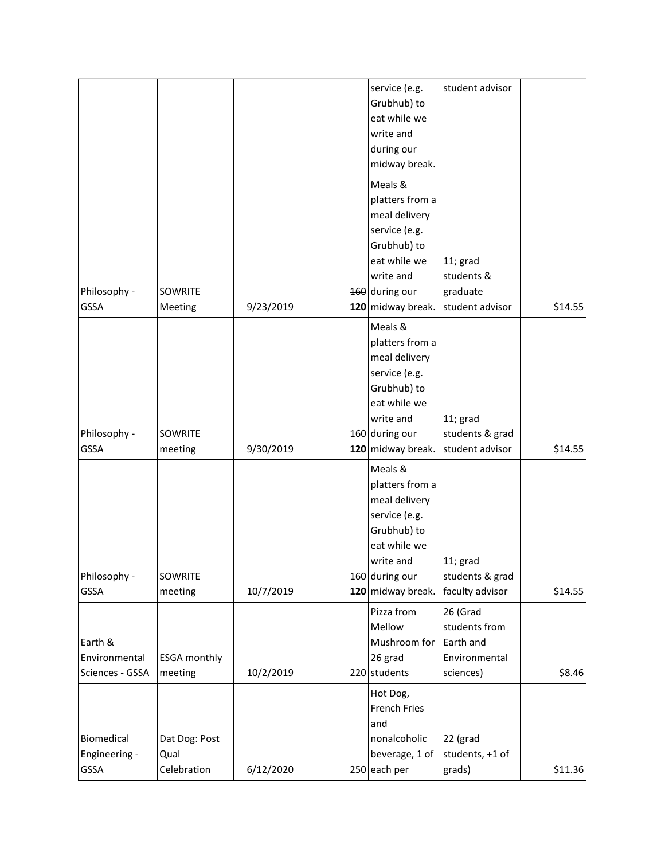| Philosophy -<br><b>GSSA</b>                                | SOWRITE<br>meeting                        | 9/30/2019              | 160 during our<br>120 midway break.<br>Meals &<br>platters from a<br>meal delivery<br>service (e.g. | students & grad<br>student advisor                                                      | \$14.55           |
|------------------------------------------------------------|-------------------------------------------|------------------------|-----------------------------------------------------------------------------------------------------|-----------------------------------------------------------------------------------------|-------------------|
| Philosophy -                                               | SOWRITE                                   |                        | Grubhub) to<br>eat while we<br>write and<br>160 during our                                          | 11; grad<br>students & grad                                                             |                   |
| <b>GSSA</b><br>Earth &<br>Environmental<br>Sciences - GSSA | meeting<br><b>ESGA monthly</b><br>meeting | 10/7/2019<br>10/2/2019 | 120 midway break.<br>Pizza from<br>Mellow<br>Mushroom for<br>26 grad<br>220 students                | faculty advisor<br>26 (Grad<br>students from<br>Earth and<br>Environmental<br>sciences) | \$14.55<br>\$8.46 |
| Biomedical<br>Engineering -<br>GSSA                        | Dat Dog: Post<br>Qual<br>Celebration      | 6/12/2020              | Hot Dog,<br><b>French Fries</b><br>and<br>nonalcoholic<br>beverage, 1 of<br>250 each per            | 22 (grad<br>students, +1 of<br>grads)                                                   | \$11.36           |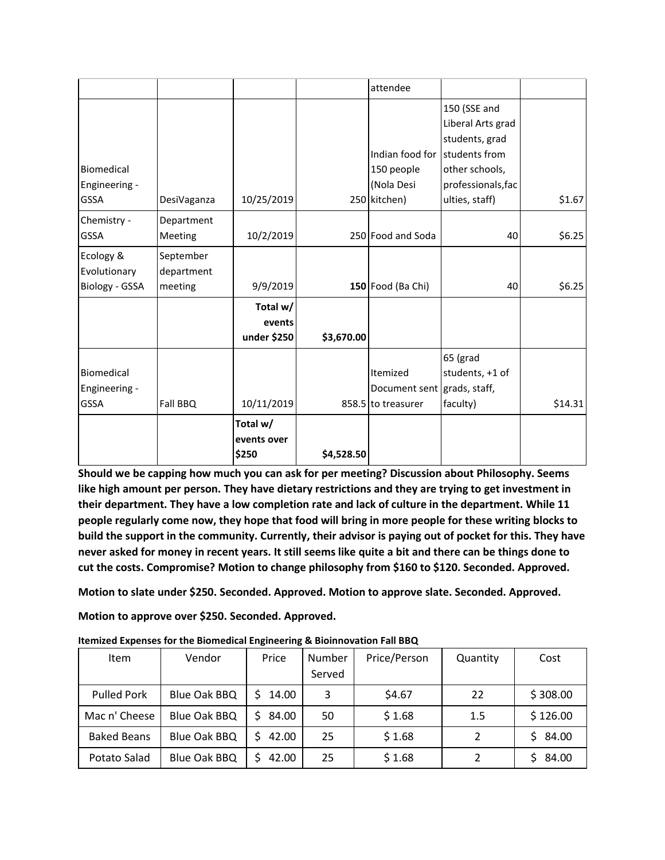|                                            |                         |                                  |            | attendee                                        |                                                          |         |
|--------------------------------------------|-------------------------|----------------------------------|------------|-------------------------------------------------|----------------------------------------------------------|---------|
|                                            |                         |                                  |            |                                                 | 150 (SSE and<br>Liberal Arts grad<br>students, grad      |         |
|                                            |                         |                                  |            | Indian food for                                 | students from                                            |         |
| Biomedical                                 |                         |                                  |            | 150 people                                      | other schools,                                           |         |
| Engineering -                              |                         |                                  |            | (Nola Desi                                      | professionals, fac                                       |         |
| <b>GSSA</b>                                | DesiVaganza             | 10/25/2019                       |            | 250 kitchen)                                    | ulties, staff)                                           | \$1.67  |
| Chemistry -<br><b>GSSA</b>                 | Department<br>Meeting   | 10/2/2019                        |            | 250 Food and Soda                               | 40                                                       | \$6.25  |
| Ecology &<br>Evolutionary                  | September<br>department |                                  |            |                                                 |                                                          |         |
| Biology - GSSA                             | meeting                 | 9/9/2019                         |            | 150 Food (Ba Chi)                               | 40                                                       | \$6.25  |
|                                            |                         | Total w/                         |            |                                                 |                                                          |         |
|                                            |                         | events                           |            |                                                 |                                                          |         |
|                                            |                         | under \$250                      | \$3,670.00 |                                                 |                                                          |         |
| Biomedical<br>Engineering -<br><b>GSSA</b> | Fall BBQ                | 10/11/2019                       |            | Itemized<br>Document sent<br>858.5 to treasurer | 65 (grad<br>students, +1 of<br>grads, staff,<br>faculty) | \$14.31 |
|                                            |                         | Total w/<br>events over<br>\$250 | \$4,528.50 |                                                 |                                                          |         |

**Should we be capping how much you can ask for per meeting? Discussion about Philosophy. Seems like high amount per person. They have dietary restrictions and they are trying to get investment in their department. They have a low completion rate and lack of culture in the department. While 11 people regularly come now, they hope that food will bring in more people for these writing blocks to build the support in the community. Currently, their advisor is paying out of pocket for this. They have never asked for money in recent years. It still seems like quite a bit and there can be things done to cut the costs. Compromise? Motion to change philosophy from \$160 to \$120. Seconded. Approved.**

**Motion to slate under \$250. Seconded. Approved. Motion to approve slate. Seconded. Approved.**

**Motion to approve over \$250. Seconded. Approved.**

| <b>Item</b>        | Vendor       | Price                 | Number<br>Served | Price/Person | Quantity | Cost     |
|--------------------|--------------|-----------------------|------------------|--------------|----------|----------|
| <b>Pulled Pork</b> | Blue Oak BBQ | 14.00<br>S            | 3                | \$4.67       | 22       | \$308.00 |
| Mac n' Cheese      | Blue Oak BBQ | 84.00<br>S.           | 50               | \$1.68       | 1.5      | \$126.00 |
| <b>Baked Beans</b> | Blue Oak BBQ | 42.00<br><sup>S</sup> | 25               | \$1.68       |          | \$84.00  |
| Potato Salad       | Blue Oak BBQ | S<br>42.00            | 25               | \$1.68       |          | 84.00    |

**Itemized Expenses for the Biomedical Engineering & Bioinnovation Fall BBQ**